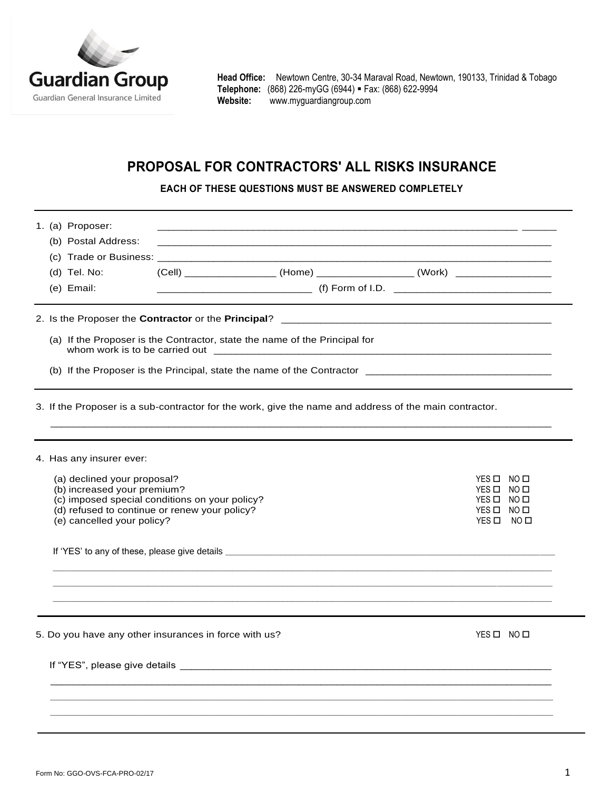

**Head Office:** Newtown Centre, 30-34 Maraval Road, Newtown, 190133, Trinidad & Tobago **Telephone:** (868) 226-myGG (6944) Fax: (868) 622-9994 **Website:** [www.myguardiangroup.com](http://www.myguardiangroup.com/)

# **PROPOSAL FOR CONTRACTORS' ALL RISKS INSURANCE**

**EACH OF THESE QUESTIONS MUST BE ANSWERED COMPLETELY**

| 1. (a) Proposer:<br>(b) Postal Address:<br>(d) Tel. No:<br>(e) Email:                                                                                                                                                   | (Cell) ________________________ (Home) _____________________ (Work) ___________________ |                                                                   |  |
|-------------------------------------------------------------------------------------------------------------------------------------------------------------------------------------------------------------------------|-----------------------------------------------------------------------------------------|-------------------------------------------------------------------|--|
|                                                                                                                                                                                                                         | (a) If the Proposer is the Contractor, state the name of the Principal for              |                                                                   |  |
| 3. If the Proposer is a sub-contractor for the work, give the name and address of the main contractor.                                                                                                                  |                                                                                         |                                                                   |  |
| 4. Has any insurer ever:<br>(a) declined your proposal?<br>(b) increased your premium?<br>(c) imposed special conditions on your policy?<br>(d) refused to continue or renew your policy?<br>(e) cancelled your policy? |                                                                                         | YES O NO O<br>YES O NO O<br>YES O NO O<br>YES O NO O<br>YES O NOO |  |
| 5. Do you have any other insurances in force with us?                                                                                                                                                                   |                                                                                         | YES O NO O                                                        |  |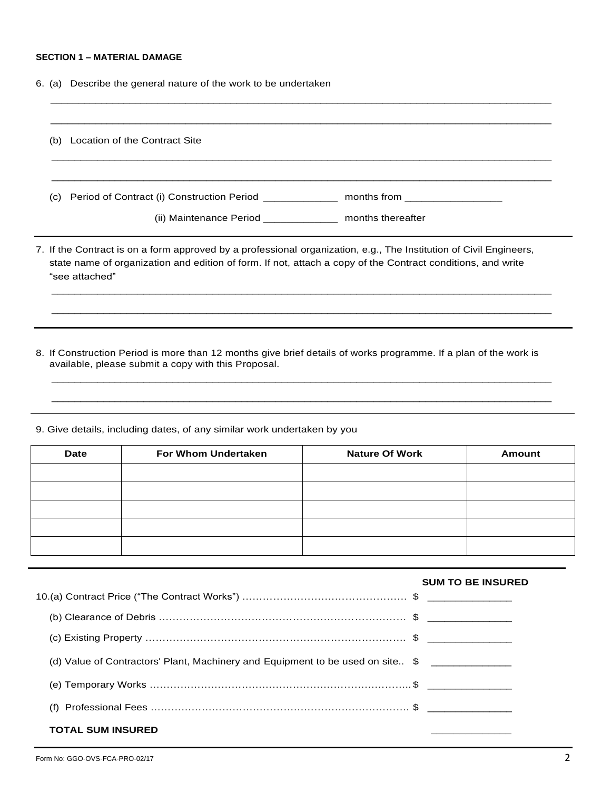## **SECTION 1 – MATERIAL DAMAGE**

6. (a) Describe the general nature of the work to be undertaken

| (b) | Location of the Contract Site                                                                                                                                                                                                                       |
|-----|-----------------------------------------------------------------------------------------------------------------------------------------------------------------------------------------------------------------------------------------------------|
|     | (c) Period of Contract (i) Construction Period _______________ months from ________________________                                                                                                                                                 |
|     | (ii) Maintenance Period ______________ months thereafter                                                                                                                                                                                            |
|     |                                                                                                                                                                                                                                                     |
|     | 7. If the Contract is on a form approved by a professional organization, e.g., The Institution of Civil Engineers,<br>state name of organization and edition of form. If not, attach a copy of the Contract conditions, and write<br>"see attached" |

9. Give details, including dates, of any similar work undertaken by you

| <b>Date</b> | For Whom Undertaken | <b>Nature Of Work</b> | Amount |
|-------------|---------------------|-----------------------|--------|
|             |                     |                       |        |
|             |                     |                       |        |
|             |                     |                       |        |
|             |                     |                       |        |
|             |                     |                       |        |

|                                                                                | <b>SUM TO BE INSURED</b> |
|--------------------------------------------------------------------------------|--------------------------|
|                                                                                |                          |
|                                                                                |                          |
|                                                                                |                          |
| (d) Value of Contractors' Plant, Machinery and Equipment to be used on site \$ |                          |
|                                                                                |                          |
| (f)                                                                            |                          |
| <b>TOTAL SUM INSURED</b>                                                       |                          |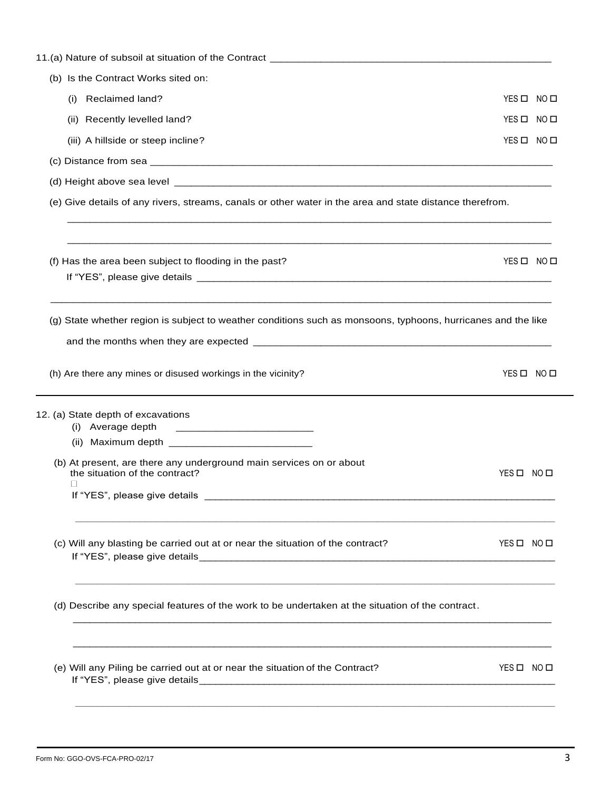| (b) Is the Contract Works sited on:                                                                           |            |  |
|---------------------------------------------------------------------------------------------------------------|------------|--|
| Reclaimed land?<br>(i)                                                                                        | YES O NO O |  |
| (ii) Recently levelled land?                                                                                  | YES O NO O |  |
| (iii) A hillside or steep incline?                                                                            | YES O NO O |  |
|                                                                                                               |            |  |
|                                                                                                               |            |  |
| (e) Give details of any rivers, streams, canals or other water in the area and state distance therefrom.      |            |  |
| (f) Has the area been subject to flooding in the past?                                                        | YES O NO O |  |
| (g) State whether region is subject to weather conditions such as monsoons, typhoons, hurricanes and the like |            |  |
| (h) Are there any mines or disused workings in the vicinity?                                                  | YES O NO O |  |
| 12. (a) State depth of excavations                                                                            |            |  |
| (i) Average depth                                                                                             |            |  |
|                                                                                                               |            |  |
| (b) At present, are there any underground main services on or about<br>the situation of the contract?         | YES O NO O |  |
| If "YES", please give details                                                                                 |            |  |
| (c) Will any blasting be carried out at or near the situation of the contract?                                | YES O NO O |  |
| (d) Describe any special features of the work to be undertaken at the situation of the contract.              |            |  |